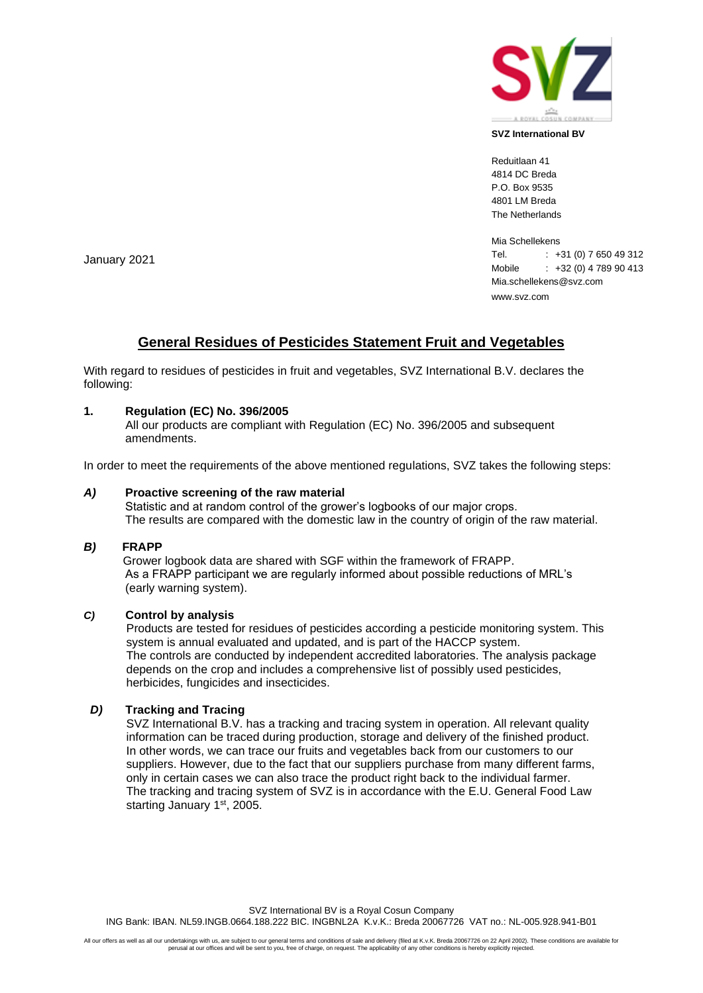

#### **SVZ International BV**

Reduitlaan 41 4814 DC Breda P.O. Box 9535 4801 LM Breda The Netherlands

Mia Schellekens Tel. : +31 (0) 7 650 49 312 Mobile : +32 (0) 4 789 90 413 Mia.schellekens@svz.com www.svz.com

# **General Residues of Pesticides Statement Fruit and Vegetables**

With regard to residues of pesticides in fruit and vegetables, SVZ International B.V. declares the following:

## **1. Regulation (EC) No. 396/2005**

All our products are compliant with Regulation (EC) No. 396/2005 and subsequent amendments.

In order to meet the requirements of the above mentioned regulations, SVZ takes the following steps:

#### *A)* **Proactive screening of the raw material**

Statistic and at random control of the grower's logbooks of our major crops. The results are compared with the domestic law in the country of origin of the raw material.

#### *B)* **FRAPP**

Grower logbook data are shared with SGF within the framework of FRAPP. As a FRAPP participant we are regularly informed about possible reductions of MRL's (early warning system).

## *C)* **Control by analysis**

 Products are tested for residues of pesticides according a pesticide monitoring system. This system is annual evaluated and updated, and is part of the HACCP system. The controls are conducted by independent accredited laboratories. The analysis package depends on the crop and includes a comprehensive list of possibly used pesticides, herbicides, fungicides and insecticides.

### *D)* **Tracking and Tracing**

 SVZ International B.V. has a tracking and tracing system in operation. All relevant quality information can be traced during production, storage and delivery of the finished product. In other words, we can trace our fruits and vegetables back from our customers to our suppliers. However, due to the fact that our suppliers purchase from many different farms, only in certain cases we can also trace the product right back to the individual farmer. The tracking and tracing system of SVZ is in accordance with the E.U. General Food Law starting January 1<sup>st</sup>, 2005.

January 2021